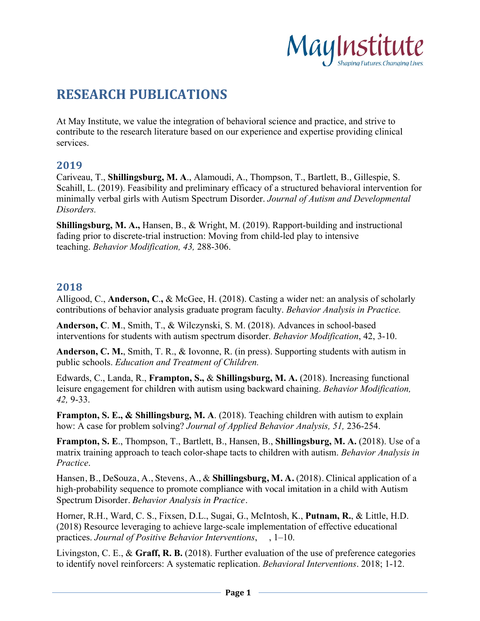

# **RESEARCH PUBLICATIONS**

At May Institute, we value the integration of behavioral science and practice, and strive to contribute to the research literature based on our experience and expertise providing clinical services.

#### **2019**

Cariveau, T., **Shillingsburg, M. A**., Alamoudi, A., Thompson, T., Bartlett, B., Gillespie, S. Scahill, L. (2019). Feasibility and preliminary efficacy of a structured behavioral intervention for minimally verbal girls with Autism Spectrum Disorder. *Journal of Autism and Developmental Disorders.*

**Shillingsburg, M. A.,** Hansen, B., & Wright, M. (2019). Rapport-building and instructional fading prior to discrete-trial instruction: Moving from child-led play to intensive teaching. *Behavior Modification, 43,* 288-306.

#### **2018**

Alligood, C., **Anderson, C**.**,** & McGee, H. (2018). Casting a wider net: an analysis of scholarly contributions of behavior analysis graduate program faculty. *Behavior Analysis in Practice.*

**Anderson, C**. **M**., Smith, T., & Wilczynski, S. M. (2018). Advances in school-based interventions for students with autism spectrum disorder. *Behavior Modification*, 42, 3-10.

**Anderson, C. M.**, Smith, T. R., & Iovonne, R. (in press). Supporting students with autism in public schools. *Education and Treatment of Children.*

Edwards, C., Landa, R., **Frampton, S.,** & **Shillingsburg, M. A.** (2018). Increasing functional leisure engagement for children with autism using backward chaining. *Behavior Modification, 42,* 9-33.

**Frampton, S. E., & Shillingsburg, M. A**. (2018). Teaching children with autism to explain how: A case for problem solving? *Journal of Applied Behavior Analysis, 51,* 236-254.

**Frampton, S. E**., Thompson, T., Bartlett, B., Hansen, B., **Shillingsburg, M. A.** (2018). Use of a matrix training approach to teach color-shape tacts to children with autism. *Behavior Analysis in Practice*.

Hansen, B., DeSouza, A., Stevens, A., & **Shillingsburg, M. A.** (2018). Clinical application of a high-probability sequence to promote compliance with vocal imitation in a child with Autism Spectrum Disorder. *Behavior Analysis in Practice.* 

Horner, R.H., Ward, C. S., Fixsen, D.L., Sugai, G., McIntosh, K., **Putnam, R.**, & Little, H.D. (2018) Resource leveraging to achieve large-scale implementation of effective educational practices. *Journal of Positive Behavior Interventions*,, 1–10.

Livingston, C. E., & **Graff, R. B.** (2018). Further evaluation of the use of preference categories to identify novel reinforcers: A systematic replication. *Behavioral Interventions*. 2018; 1-12.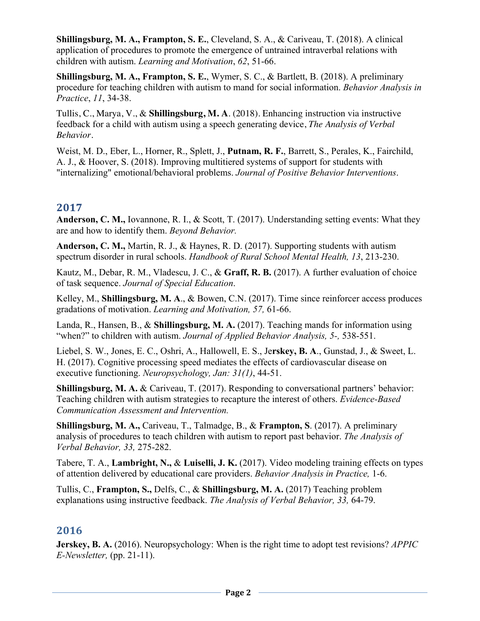**Shillingsburg, M. A., Frampton, S. E.**, Cleveland, S. A., & Cariveau, T. (2018). A clinical application of procedures to promote the emergence of untrained intraverbal relations with children with autism. *Learning and Motivation*, *62*, 51-66.

**Shillingsburg, M. A., Frampton, S. E.**, Wymer, S. C., & Bartlett, B. (2018). A preliminary procedure for teaching children with autism to mand for social information. *Behavior Analysis in Practice*, *11*, 34-38.

Tullis, C., Marya, V., & **Shillingsburg, M. A**. (2018). Enhancing instruction via instructive feedback for a child with autism using a speech generating device, *The Analysis of Verbal Behavior.*

Weist, M. D., Eber, L., Horner, R., Splett, J., **Putnam, R. F.**, Barrett, S., Perales, K., Fairchild, A. J., & Hoover, S. (2018). Improving multitiered systems of support for students with "internalizing" emotional/behavioral problems. *Journal of Positive Behavior Interventions*.

# **2017**

**Anderson, C. M.,** Iovannone, R. I., & Scott, T. (2017). Understanding setting events: What they are and how to identify them. *Beyond Behavior.* 

**Anderson, C. M.,** Martin, R. J., & Haynes, R. D. (2017). Supporting students with autism spectrum disorder in rural schools. *Handbook of Rural School Mental Health, 13*, 213-230.

Kautz, M., Debar, R. M., Vladescu, J. C., & **Graff, R. B.** (2017). A further evaluation of choice of task sequence. *Journal of Special Education*.

Kelley, M., **Shillingsburg, M. A**., & Bowen, C.N. (2017). Time since reinforcer access produces gradations of motivation. *Learning and Motivation, 57,* 61-66.

Landa, R., Hansen, B., & **Shillingsburg, M. A.** (2017). Teaching mands for information using "when?" to children with autism. *Journal of Applied Behavior Analysis, 5-,* 538-551.

Liebel, S. W., Jones, E. C., Oshri, A., Hallowell, E. S., Je**rskey, B. A**., Gunstad, J., & Sweet, L. H. (2017). Cognitive processing speed mediates the effects of cardiovascular disease on executive functioning. *Neuropsychology, Jan: 31(1)*, 44-51.

**Shillingsburg, M. A.** & Cariveau, T. (2017). Responding to conversational partners' behavior: Teaching children with autism strategies to recapture the interest of others. *Evidence-Based Communication Assessment and Intervention.*

**Shillingsburg, M. A.,** Cariveau, T., Talmadge, B., & **Frampton, S**. (2017). A preliminary analysis of procedures to teach children with autism to report past behavior. *The Analysis of Verbal Behavior, 33,* 275-282.

Tabere, T. A., **Lambright, N.,** & **Luiselli, J. K.** (2017). Video modeling training effects on types of attention delivered by educational care providers. *Behavior Analysis in Practice,* 1-6.

Tullis, C., **Frampton, S.,** Delfs, C., & **Shillingsburg, M. A.** (2017) Teaching problem explanations using instructive feedback. *The Analysis of Verbal Behavior, 33,* 64-79.

# **2016**

**Jerskey, B. A.** (2016). Neuropsychology: When is the right time to adopt test revisions? *APPIC E-Newsletter,* (pp. 21-11).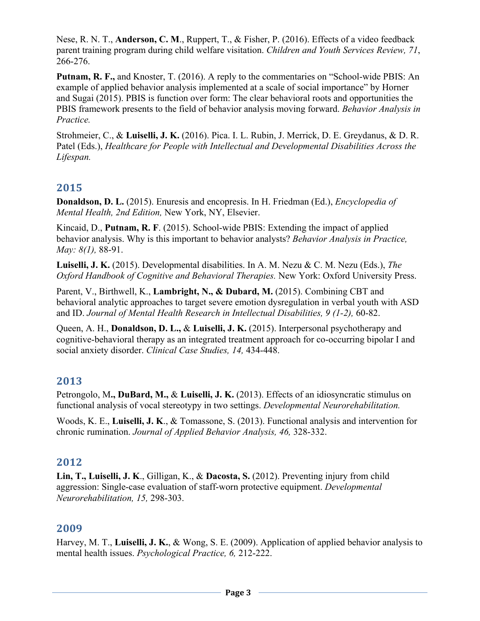Nese, R. N. T., **Anderson, C. M**., Ruppert, T., & Fisher, P. (2016). Effects of a video feedback parent training program during child welfare visitation. *Children and Youth Services Review, 71*, 266-276.

**Putnam, R. F.,** and Knoster, T. (2016). A reply to the commentaries on "School-wide PBIS: An example of applied behavior analysis implemented at a scale of social importance" by Horner and Sugai (2015). PBIS is function over form: The clear behavioral roots and opportunities the PBIS framework presents to the field of behavior analysis moving forward. *Behavior Analysis in Practice.*

Strohmeier, C., & **Luiselli, J. K.** (2016). Pica. I. L. Rubin, J. Merrick, D. E. Greydanus, & D. R. Patel (Eds.), *Healthcare for People with Intellectual and Developmental Disabilities Across the Lifespan.*

# **2015**

**Donaldson, D. L.** (2015). Enuresis and encopresis. In H. Friedman (Ed.), *Encyclopedia of Mental Health, 2nd Edition,* New York, NY, Elsevier.

Kincaid, D., **Putnam, R. F**. (2015). School-wide PBIS: Extending the impact of applied behavior analysis. Why is this important to behavior analysts? *Behavior Analysis in Practice, May: 8(1),* 88-91.

**Luiselli, J. K.** (2015). Developmental disabilities. In A. M. Nezu & C. M. Nezu (Eds.), *The Oxford Handbook of Cognitive and Behavioral Therapies.* New York: Oxford University Press.

Parent, V., Birthwell, K., **Lambright, N., & Dubard, M.** (2015). Combining CBT and behavioral analytic approaches to target severe emotion dysregulation in verbal youth with ASD and ID. *Journal of Mental Health Research in Intellectual Disabilities, 9 (1-2),* 60-82.

Queen, A. H., **Donaldson, D. L.,** & **Luiselli, J. K.** (2015). Interpersonal psychotherapy and cognitive-behavioral therapy as an integrated treatment approach for co-occurring bipolar I and social anxiety disorder. *Clinical Case Studies, 14,* 434-448.

# **2013**

Petrongolo, M**., DuBard, M.,** & **Luiselli, J. K.** (2013). Effects of an idiosyncratic stimulus on functional analysis of vocal stereotypy in two settings. *Developmental Neurorehabilitation.*

Woods, K. E., **Luiselli, J. K**., & Tomassone, S. (2013). Functional analysis and intervention for chronic rumination. *Journal of Applied Behavior Analysis, 46,* 328-332.

# **2012**

**Lin, T., Luiselli, J. K**., Gilligan, K., & **Dacosta, S.** (2012). Preventing injury from child aggression: Single-case evaluation of staff-worn protective equipment. *Developmental Neurorehabilitation, 15,* 298-303.

# **2009**

Harvey, M. T., **Luiselli, J. K.**, & Wong, S. E. (2009). Application of applied behavior analysis to mental health issues. *Psychological Practice, 6,* 212-222.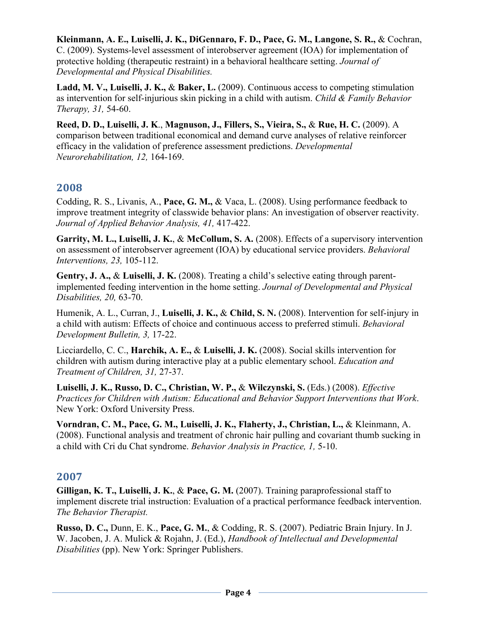**Kleinmann, A. E., Luiselli, J. K., DiGennaro, F. D., Pace, G. M., Langone, S. R.,** & Cochran, C. (2009). Systems-level assessment of interobserver agreement (IOA) for implementation of protective holding (therapeutic restraint) in a behavioral healthcare setting. *Journal of Developmental and Physical Disabilities.*

**Ladd, M. V., Luiselli, J. K.,** & **Baker, L.** (2009). Continuous access to competing stimulation as intervention for self-injurious skin picking in a child with autism. *Child & Family Behavior Therapy, 31,* 54-60.

**Reed, D. D., Luiselli, J. K**., **Magnuson, J., Fillers, S., Vieira, S.,** & **Rue, H. C.** (2009). A comparison between traditional economical and demand curve analyses of relative reinforcer efficacy in the validation of preference assessment predictions. *Developmental Neurorehabilitation, 12,* 164-169.

# **2008**

Codding, R. S., Livanis, A., **Pace, G. M.,** & Vaca, L. (2008). Using performance feedback to improve treatment integrity of classwide behavior plans: An investigation of observer reactivity. *Journal of Applied Behavior Analysis, 41,* 417-422.

**Garrity, M. L., Luiselli, J. K.**, & **McCollum, S. A.** (2008). Effects of a supervisory intervention on assessment of interobserver agreement (IOA) by educational service providers. *Behavioral Interventions, 23,* 105-112.

**Gentry, J. A.,** & **Luiselli, J. K.** (2008). Treating a child's selective eating through parentimplemented feeding intervention in the home setting. *Journal of Developmental and Physical Disabilities, 20,* 63-70.

Humenik, A. L., Curran, J., **Luiselli, J. K.,** & **Child, S. N.** (2008). Intervention for self-injury in a child with autism: Effects of choice and continuous access to preferred stimuli. *Behavioral Development Bulletin, 3,* 17-22.

Licciardello, C. C., **Harchik, A. E.,** & **Luiselli, J. K.** (2008). Social skills intervention for children with autism during interactive play at a public elementary school. *Education and Treatment of Children, 31,* 27-37.

**Luiselli, J. K., Russo, D. C., Christian, W. P.,** & **Wilczynski, S.** (Eds.) (2008). *Effective Practices for Children with Autism: Educational and Behavior Support Interventions that Work*. New York: Oxford University Press.

**Vorndran, C. M., Pace, G. M., Luiselli, J. K., Flaherty, J., Christian, L.,** & Kleinmann, A. (2008). Functional analysis and treatment of chronic hair pulling and covariant thumb sucking in a child with Cri du Chat syndrome. *Behavior Analysis in Practice, 1,* 5-10.

#### **2007**

**Gilligan, K. T., Luiselli, J. K.**, & **Pace, G. M.** (2007). Training paraprofessional staff to implement discrete trial instruction: Evaluation of a practical performance feedback intervention. *The Behavior Therapist.*

**Russo, D. C.,** Dunn, E. K., **Pace, G. M.**, & Codding, R. S. (2007). Pediatric Brain Injury. In J. W. Jacoben, J. A. Mulick & Rojahn, J. (Ed.), *Handbook of Intellectual and Developmental Disabilities* (pp). New York: Springer Publishers.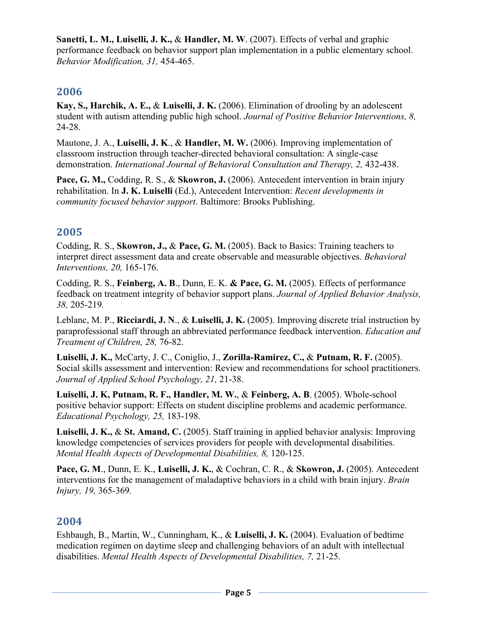**Sanetti, L. M., Luiselli, J. K.,** & **Handler, M. W**. (2007). Effects of verbal and graphic performance feedback on behavior support plan implementation in a public elementary school. *Behavior Modification, 31,* 454-465.

# **2006**

**Kay, S., Harchik, A. E.,** & **Luiselli, J. K.** (2006). Elimination of drooling by an adolescent student with autism attending public high school. *Journal of Positive Behavior Interventions, 8,*  24-28.

Mautone, J. A., **Luiselli, J. K**., & **Handler, M. W.** (2006). Improving implementation of classroom instruction through teacher-directed behavioral consultation: A single-case demonstration. *International Journal of Behavioral Consultation and Therapy, 2, 432-438.* 

**Pace, G. M.,** Codding, R. S., & **Skowron, J.** (2006). Antecedent intervention in brain injury rehabilitation. In **J. K. Luiselli** (Ed.), Antecedent Intervention: *Recent developments in community focused behavior support*. Baltimore: Brooks Publishing.

# **2005**

Codding, R. S., **Skowron, J.,** & **Pace, G. M.** (2005). Back to Basics: Training teachers to interpret direct assessment data and create observable and measurable objectives. *Behavioral Interventions, 20,* 165-176.

Codding, R. S., **Feinberg, A. B**., Dunn, E. K. **& Pace, G. M.** (2005). Effects of performance feedback on treatment integrity of behavior support plans. *Journal of Applied Behavior Analysis, 38,* 205-219*.*

Leblanc, M. P., **Ricciardi, J. N**., & **Luiselli, J. K.** (2005). Improving discrete trial instruction by paraprofessional staff through an abbreviated performance feedback intervention. *Education and Treatment of Children, 28,* 76-82.

**Luiselli, J. K.,** McCarty, J. C., Coniglio, J., **Zorilla-Ramirez, C.,** & **Putnam, R. F.** (2005). Social skills assessment and intervention: Review and recommendations for school practitioners. *Journal of Applied School Psychology, 21,* 21-38.

**Luiselli, J. K, Putnam, R. F., Handler, M. W.**, & **Feinberg, A. B**. (2005). Whole-school positive behavior support: Effects on student discipline problems and academic performance. *Educational Psychology, 25,* 183-198.

**Luiselli, J. K.,** & **St. Amand, C.** (2005). Staff training in applied behavior analysis: Improving knowledge competencies of services providers for people with developmental disabilities. *Mental Health Aspects of Developmental Disabilities, 8,* 120-125.

**Pace, G. M**., Dunn, E. K., **Luiselli, J. K.**, & Cochran, C. R., & **Skowron, J.** (2005). Antecedent interventions for the management of maladaptive behaviors in a child with brain injury. *Brain Injury, 19,* 365-369*.*

# **2004**

Eshbaugh, B., Martin, W., Cunningham, K., & **Luiselli, J. K.** (2004). Evaluation of bedtime medication regimen on daytime sleep and challenging behaviors of an adult with intellectual disabilities. *Mental Health Aspects of Developmental Disabilities, 7,* 21-25.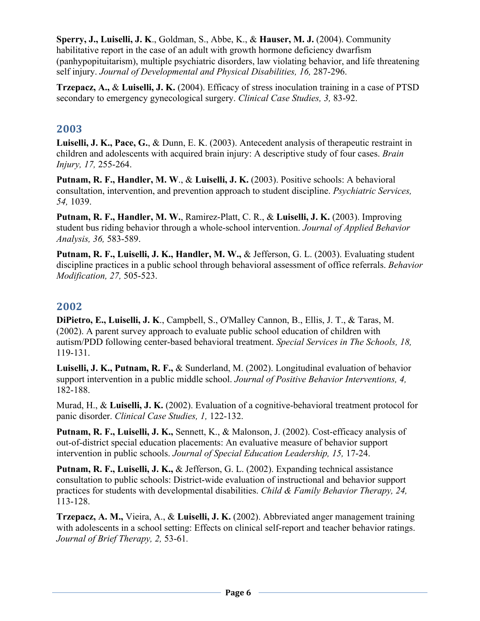**Sperry, J., Luiselli, J. K**., Goldman, S., Abbe, K., & **Hauser, M. J.** (2004). Community habilitative report in the case of an adult with growth hormone deficiency dwarfism (panhypopituitarism), multiple psychiatric disorders, law violating behavior, and life threatening self injury. *Journal of Developmental and Physical Disabilities, 16, 287-296.* 

**Trzepacz, A.,** & **Luiselli, J. K.** (2004). Efficacy of stress inoculation training in a case of PTSD secondary to emergency gynecological surgery. *Clinical Case Studies, 3,* 83-92.

# **2003**

**Luiselli, J. K., Pace, G.**, & Dunn, E. K. (2003). Antecedent analysis of therapeutic restraint in children and adolescents with acquired brain injury: A descriptive study of four cases. *Brain Injury, 17,* 255-264.

**Putnam, R. F., Handler, M. W**., & **Luiselli, J. K.** (2003). Positive schools: A behavioral consultation, intervention, and prevention approach to student discipline. *Psychiatric Services, 54,* 1039.

**Putnam, R. F., Handler, M. W.**, Ramirez-Platt, C. R., & **Luiselli, J. K.** (2003). Improving student bus riding behavior through a whole-school intervention. *Journal of Applied Behavior Analysis, 36,* 583-589.

**Putnam, R. F., Luiselli, J. K., Handler, M. W.,** & Jefferson, G. L. (2003). Evaluating student discipline practices in a public school through behavioral assessment of office referrals. *Behavior Modification, 27,* 505-523.

# **2002**

**DiPietro, E., Luiselli, J. K**., Campbell, S., O'Malley Cannon, B., Ellis, J. T., & Taras, M. (2002). A parent survey approach to evaluate public school education of children with autism/PDD following center-based behavioral treatment. *Special Services in The Schools, 18,*  119-131.

**Luiselli, J. K., Putnam, R. F.,** & Sunderland, M. (2002). Longitudinal evaluation of behavior support intervention in a public middle school. *Journal of Positive Behavior Interventions, 4,*  182-188.

Murad, H., & **Luiselli, J. K.** (2002). Evaluation of a cognitive-behavioral treatment protocol for panic disorder. *Clinical Case Studies, 1,* 122-132.

**Putnam, R. F., Luiselli, J. K.,** Sennett, K., & Malonson, J. (2002). Cost-efficacy analysis of out-of-district special education placements: An evaluative measure of behavior support intervention in public schools. *Journal of Special Education Leadership, 15,* 17-24.

**Putnam, R. F., Luiselli, J. K.,** & Jefferson, G. L. (2002). Expanding technical assistance consultation to public schools: District-wide evaluation of instructional and behavior support practices for students with developmental disabilities. *Child & Family Behavior Therapy, 24,*  113-128.

**Trzepacz, A. M.,** Vieira, A., & **Luiselli, J. K.** (2002). Abbreviated anger management training with adolescents in a school setting: Effects on clinical self-report and teacher behavior ratings. *Journal of Brief Therapy, 2,* 53-61*.*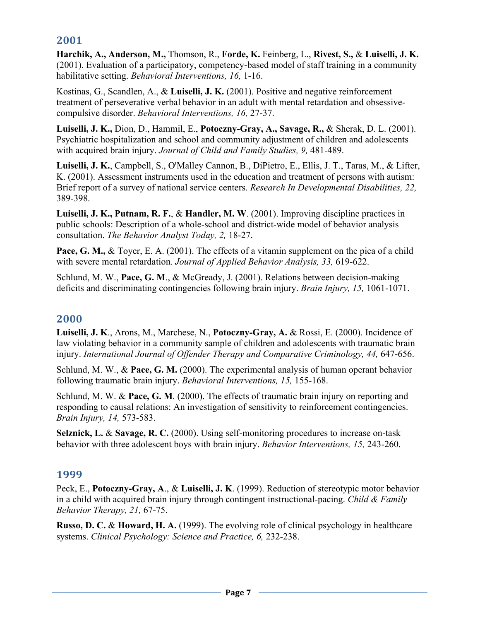# **2001**

**Harchik, A., Anderson, M.,** Thomson, R., **Forde, K.** Feinberg, L., **Rivest, S.,** & **Luiselli, J. K.** (2001). Evaluation of a participatory, competency-based model of staff training in a community habilitative setting. *Behavioral Interventions, 16,* 1-16.

Kostinas, G., Scandlen, A., & **Luiselli, J. K.** (2001). Positive and negative reinforcement treatment of perseverative verbal behavior in an adult with mental retardation and obsessivecompulsive disorder. *Behavioral Interventions, 16,* 27-37.

**Luiselli, J. K.,** Dion, D., Hammil, E., **Potoczny-Gray, A., Savage, R.,** & Sherak, D. L. (2001). Psychiatric hospitalization and school and community adjustment of children and adolescents with acquired brain injury. *Journal of Child and Family Studies, 9,* 481-489.

**Luiselli, J. K.**, Campbell, S., O'Malley Cannon, B., DiPietro, E., Ellis, J. T., Taras, M., & Lifter, K. (2001). Assessment instruments used in the education and treatment of persons with autism: Brief report of a survey of national service centers. *Research In Developmental Disabilities, 22,*  389-398.

**Luiselli, J. K., Putnam, R. F.**, & **Handler, M. W**. (2001). Improving discipline practices in public schools: Description of a whole-school and district-wide model of behavior analysis consultation. *The Behavior Analyst Today, 2,* 18-27.

**Pace, G. M., & Toyer, E. A. (2001). The effects of a vitamin supplement on the pica of a child** with severe mental retardation. *Journal of Applied Behavior Analysis, 33,* 619-622.

Schlund, M. W., **Pace, G. M**., & McGready, J. (2001). Relations between decision-making deficits and discriminating contingencies following brain injury. *Brain Injury, 15,* 1061-1071.

# **2000**

**Luiselli, J. K**., Arons, M., Marchese, N., **Potoczny-Gray, A.** & Rossi, E. (2000). Incidence of law violating behavior in a community sample of children and adolescents with traumatic brain injury. *International Journal of Offender Therapy and Comparative Criminology, 44, 647-656.* 

Schlund, M. W., & **Pace, G. M.** (2000). The experimental analysis of human operant behavior following traumatic brain injury. *Behavioral Interventions, 15,* 155-168.

Schlund, M. W. & **Pace, G. M**. (2000). The effects of traumatic brain injury on reporting and responding to causal relations: An investigation of sensitivity to reinforcement contingencies. *Brain Injury, 14,* 573-583.

**Selznick, L.** & **Savage, R. C.** (2000). Using self-monitoring procedures to increase on-task behavior with three adolescent boys with brain injury. *Behavior Interventions, 15,* 243-260.

#### **1999**

Peck, E., **Potoczny-Gray, A**., & **Luiselli, J. K**. (1999). Reduction of stereotypic motor behavior in a child with acquired brain injury through contingent instructional-pacing. *Child & Family Behavior Therapy, 21,* 67-75.

**Russo, D. C.** & **Howard, H. A.** (1999). The evolving role of clinical psychology in healthcare systems. *Clinical Psychology: Science and Practice, 6,* 232-238.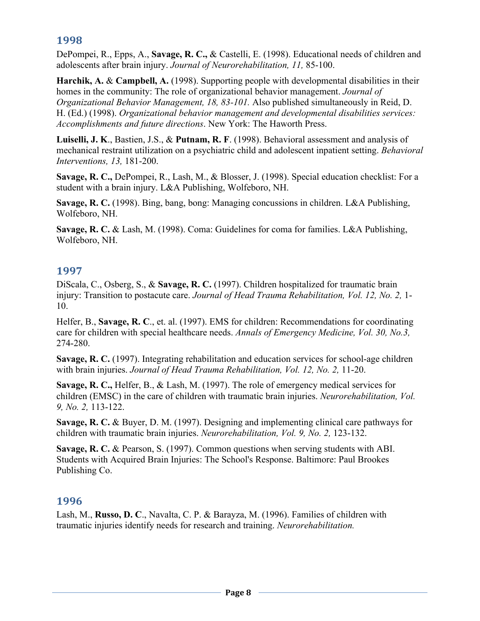# **1998**

DePompei, R., Epps, A., **Savage, R. C.,** & Castelli, E. (1998). Educational needs of children and adolescents after brain injury. *Journal of Neurorehabilitation, 11,* 85-100.

**Harchik, A.** & **Campbell, A.** (1998). Supporting people with developmental disabilities in their homes in the community: The role of organizational behavior management. *Journal of Organizational Behavior Management, 18, 83-101.* Also published simultaneously in Reid, D. H. (Ed.) (1998). *Organizational behavior management and developmental disabilities services: Accomplishments and future directions*. New York: The Haworth Press.

**Luiselli, J. K**., Bastien, J.S., & **Putnam, R. F**. (1998). Behavioral assessment and analysis of mechanical restraint utilization on a psychiatric child and adolescent inpatient setting. *Behavioral Interventions, 13,* 181-200.

**Savage, R. C.,** DePompei, R., Lash, M., & Blosser, J. (1998). Special education checklist: For a student with a brain injury. L&A Publishing, Wolfeboro, NH.

**Savage, R. C.** (1998). Bing, bang, bong: Managing concussions in children. L&A Publishing, Wolfeboro, NH.

**Savage, R. C.** & Lash, M. (1998). Coma: Guidelines for coma for families. L&A Publishing, Wolfeboro, NH.

# **1997**

DiScala, C., Osberg, S., & **Savage, R. C.** (1997). Children hospitalized for traumatic brain injury: Transition to postacute care. *Journal of Head Trauma Rehabilitation, Vol. 12, No. 2,* 1- 10.

Helfer, B., **Savage, R. C**., et. al. (1997). EMS for children: Recommendations for coordinating care for children with special healthcare needs. *Annals of Emergency Medicine, Vol. 30, No.3,*  274-280.

**Savage, R. C.** (1997). Integrating rehabilitation and education services for school-age children with brain injuries. *Journal of Head Trauma Rehabilitation, Vol. 12, No. 2,* 11-20.

**Savage, R. C.,** Helfer, B., & Lash, M. (1997). The role of emergency medical services for children (EMSC) in the care of children with traumatic brain injuries. *Neurorehabilitation, Vol. 9, No. 2,* 113-122.

**Savage, R. C.** & Buyer, D. M. (1997). Designing and implementing clinical care pathways for children with traumatic brain injuries. *Neurorehabilitation, Vol. 9, No. 2,* 123-132.

**Savage, R. C.** & Pearson, S. (1997). Common questions when serving students with ABI. Students with Acquired Brain Injuries: The School's Response. Baltimore: Paul Brookes Publishing Co.

# **1996**

Lash, M., **Russo, D. C**., Navalta, C. P. & Barayza, M. (1996). Families of children with traumatic injuries identify needs for research and training. *Neurorehabilitation.*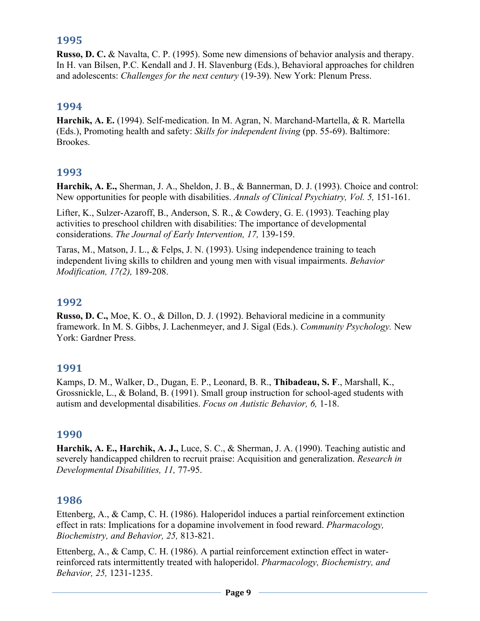## **1995**

**Russo, D. C.** & Navalta, C. P. (1995). Some new dimensions of behavior analysis and therapy. In H. van Bilsen, P.C. Kendall and J. H. Slavenburg (Eds.), Behavioral approaches for children and adolescents: *Challenges for the next century* (19-39). New York: Plenum Press.

## **1994**

**Harchik, A. E.** (1994). Self-medication. In M. Agran, N. Marchand-Martella, & R. Martella (Eds.), Promoting health and safety: *Skills for independent living* (pp. 55-69). Baltimore: Brookes.

## **1993**

**Harchik, A. E.,** Sherman, J. A., Sheldon, J. B., & Bannerman, D. J. (1993). Choice and control: New opportunities for people with disabilities. *Annals of Clinical Psychiatry, Vol. 5,* 151-161.

Lifter, K., Sulzer-Azaroff, B., Anderson, S. R., & Cowdery, G. E. (1993). Teaching play activities to preschool children with disabilities: The importance of developmental considerations. *The Journal of Early Intervention, 17,* 139-159.

Taras, M., Matson, J. L., & Felps, J. N. (1993). Using independence training to teach independent living skills to children and young men with visual impairments. *Behavior Modification, 17(2),* 189-208.

#### **1992**

**Russo, D. C.,** Moe, K. O., & Dillon, D. J. (1992). Behavioral medicine in a community framework. In M. S. Gibbs, J. Lachenmeyer, and J. Sigal (Eds.). *Community Psychology.* New York: Gardner Press.

#### **1991**

Kamps, D. M., Walker, D., Dugan, E. P., Leonard, B. R., **Thibadeau, S. F**., Marshall, K., Grossnickle, L., & Boland, B. (1991). Small group instruction for school-aged students with autism and developmental disabilities. *Focus on Autistic Behavior, 6,* 1-18.

#### **1990**

**Harchik, A. E., Harchik, A. J.,** Luce, S. C., & Sherman, J. A. (1990). Teaching autistic and severely handicapped children to recruit praise: Acquisition and generalization. *Research in Developmental Disabilities, 11,* 77-95.

# **1986**

Ettenberg, A., & Camp, C. H. (1986). Haloperidol induces a partial reinforcement extinction effect in rats: Implications for a dopamine involvement in food reward. *Pharmacology, Biochemistry, and Behavior, 25,* 813-821.

Ettenberg, A., & Camp, C. H. (1986). A partial reinforcement extinction effect in waterreinforced rats intermittently treated with haloperidol. *Pharmacology, Biochemistry, and Behavior, 25,* 1231-1235.